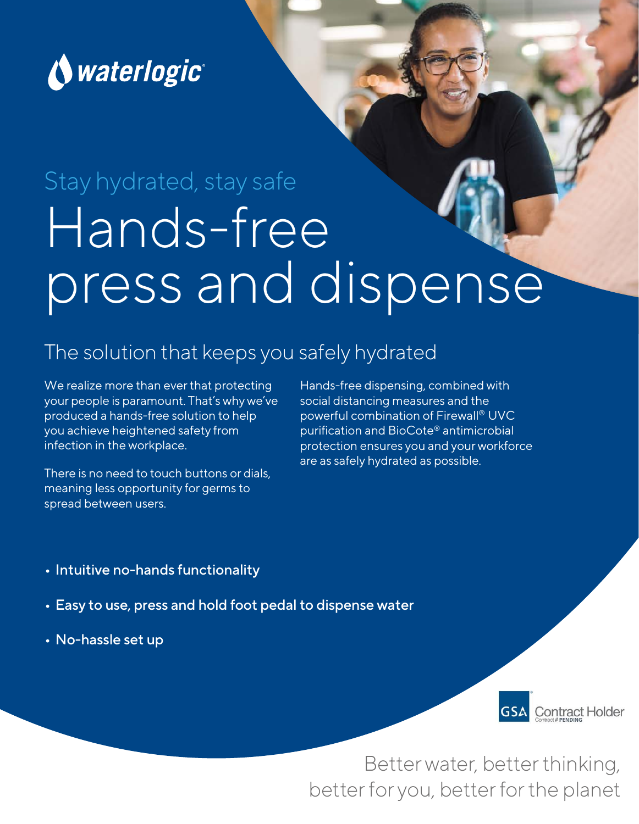

# Hands-free press and dispense Stay hydrated, stay safe

#### The solution that keeps you safely hydrated

We realize more than ever that protecting your people is paramount. That's why we've produced a hands-free solution to help you achieve heightened safety from infection in the workplace.

There is no need to touch buttons or dials, meaning less opportunity for germs to spread between users.

Hands-free dispensing, combined with social distancing measures and the powerful combination of Firewall® UVC purification and BioCote® antimicrobial protection ensures you and your workforce are as safely hydrated as possible.

- Intuitive no-hands functionality
- Easy to use, press and hold foot pedal to dispense water
- No-hassle set up



Better water, better thinking, better for you, better for the planet